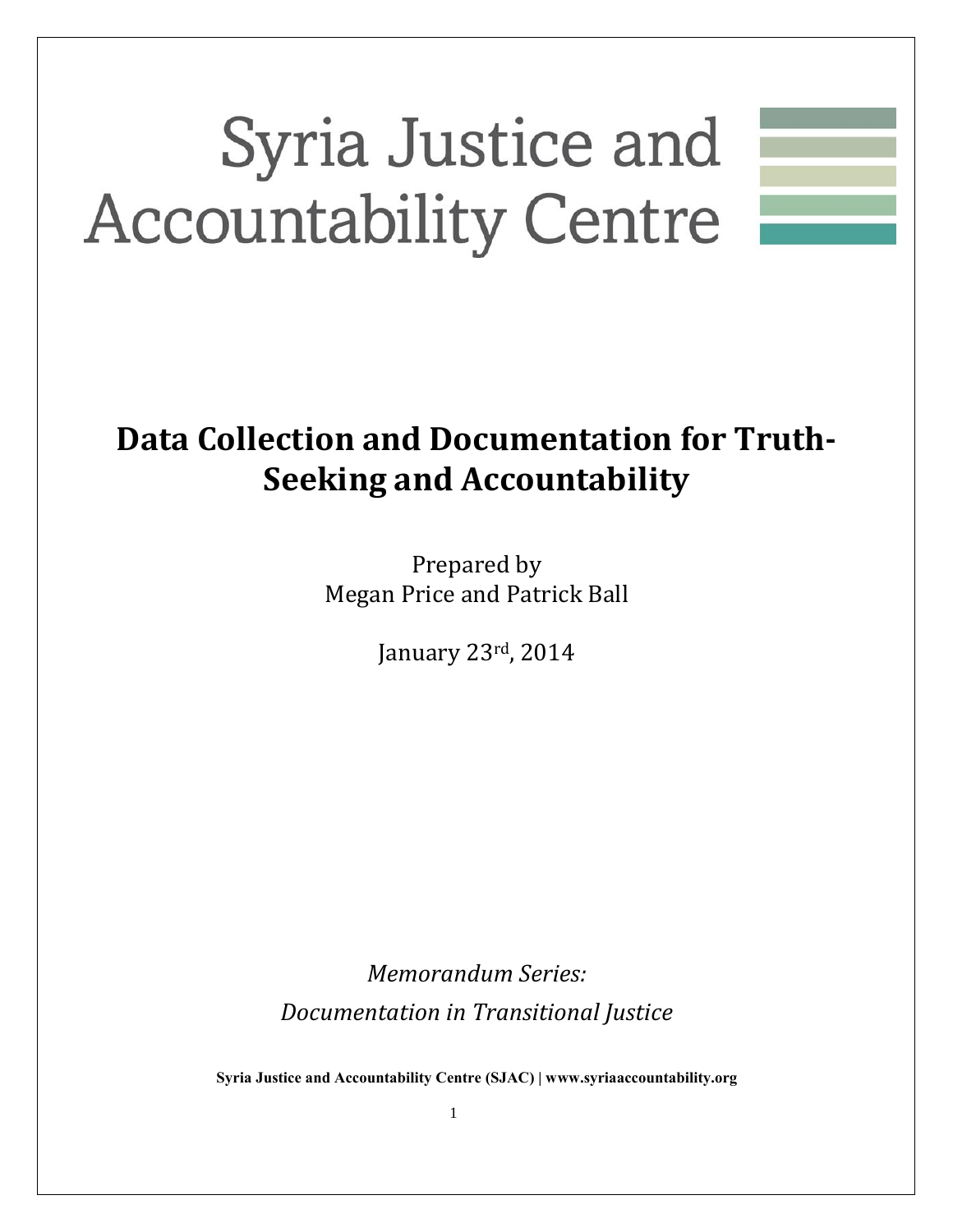# Syria Justice and **Accountability Centre**

## **Data Collection and Documentation for Truth-Seeking and Accountability**

Prepared by Megan Price and Patrick Ball

January 23rd, 2014

*Memorandum Series: Documentation in Transitional Justice*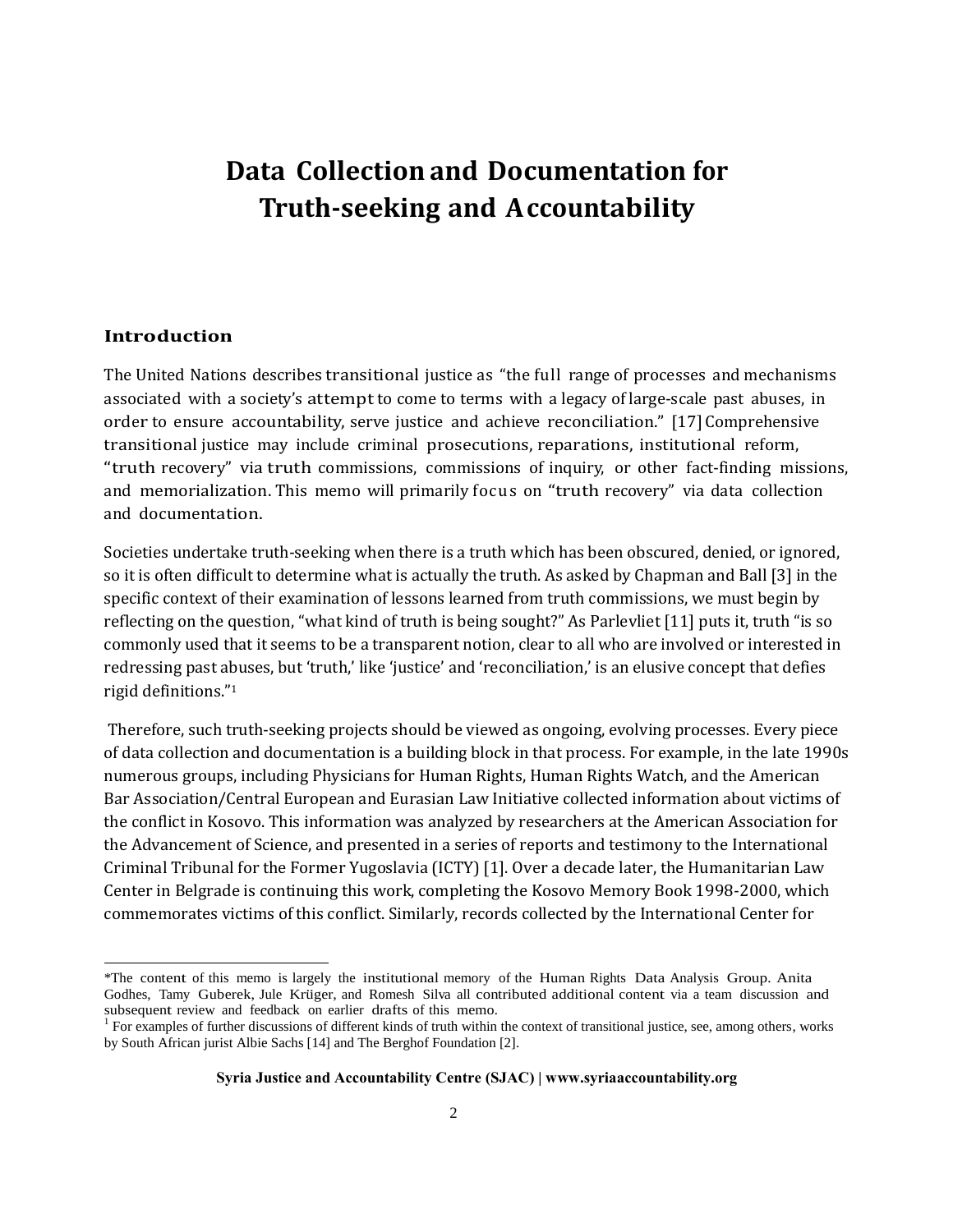### **Data Collection and Documentation for Truth-seeking and Accountability**

#### **Introduction**

l

The United Nations describes transitional justice as "the full range of processes and mechanisms associated with a society's attempt to come to terms with a legacy of large-scale past abuses, in order to ensure accountability, serve justice and achieve reconciliation." [17] Comprehensive transitional justice may include criminal prosecutions, reparations, institutional reform, "truth recovery" via truth commissions, commissions of inquiry, or other fact-finding missions, and memorialization. This memo will primarily focus on "truth recovery" via data collection and documentation.

Societies undertake truth-seeking when there is a truth which has been obscured, denied, or ignored, so it is often difficult to determine what is actually the truth. As asked by Chapman and Ball [3] in the specific context of their examination of lessons learned from truth commissions, we must begin by reflecting on the question, "what kind of truth is being sought?" As Parlevliet [11] puts it, truth "is so commonly used that it seems to be a transparent notion, clear to all who are involved or interested in redressing past abuses, but 'truth,' like 'justice' and 'reconciliation,' is an elusive concept that defies rigid definitions."<sup>1</sup>

Therefore, such truth-seeking projects should be viewed as ongoing, evolving processes. Every piece of data collection and documentation is a building block in that process. For example, in the late 1990s numerous groups, including Physicians for Human Rights, Human Rights Watch, and the American Bar Association/Central European and Eurasian Law Initiative collected information about victims of the conflict in Kosovo. This information was analyzed by researchers at the American Association for the Advancement of Science, and presented in a series of reports and testimony to the International Criminal Tribunal for the Former Yugoslavia (ICTY) [1]. Over a decade later, the Humanitarian Law Center in Belgrade is continuing this work, completing the Kosovo Memory Book 1998-2000, which commemorates victims of this conflict. Similarly, records collected by the International Center for

<sup>\*</sup>The content of this memo is largely the institutional memory of the Human Rights Data Analysis Group. Anita Godhes, Tamy Guberek, Jule Krüger, and Romesh Silva all contributed additional content via a team discussion and subsequent review and feedback on earlier drafts of this memo.

<sup>&</sup>lt;sup>1</sup> For examples of further discussions of different kinds of truth within the context of transitional justice, see, among others, works by South African jurist Albie Sachs [14] and The Berghof Foundation [2].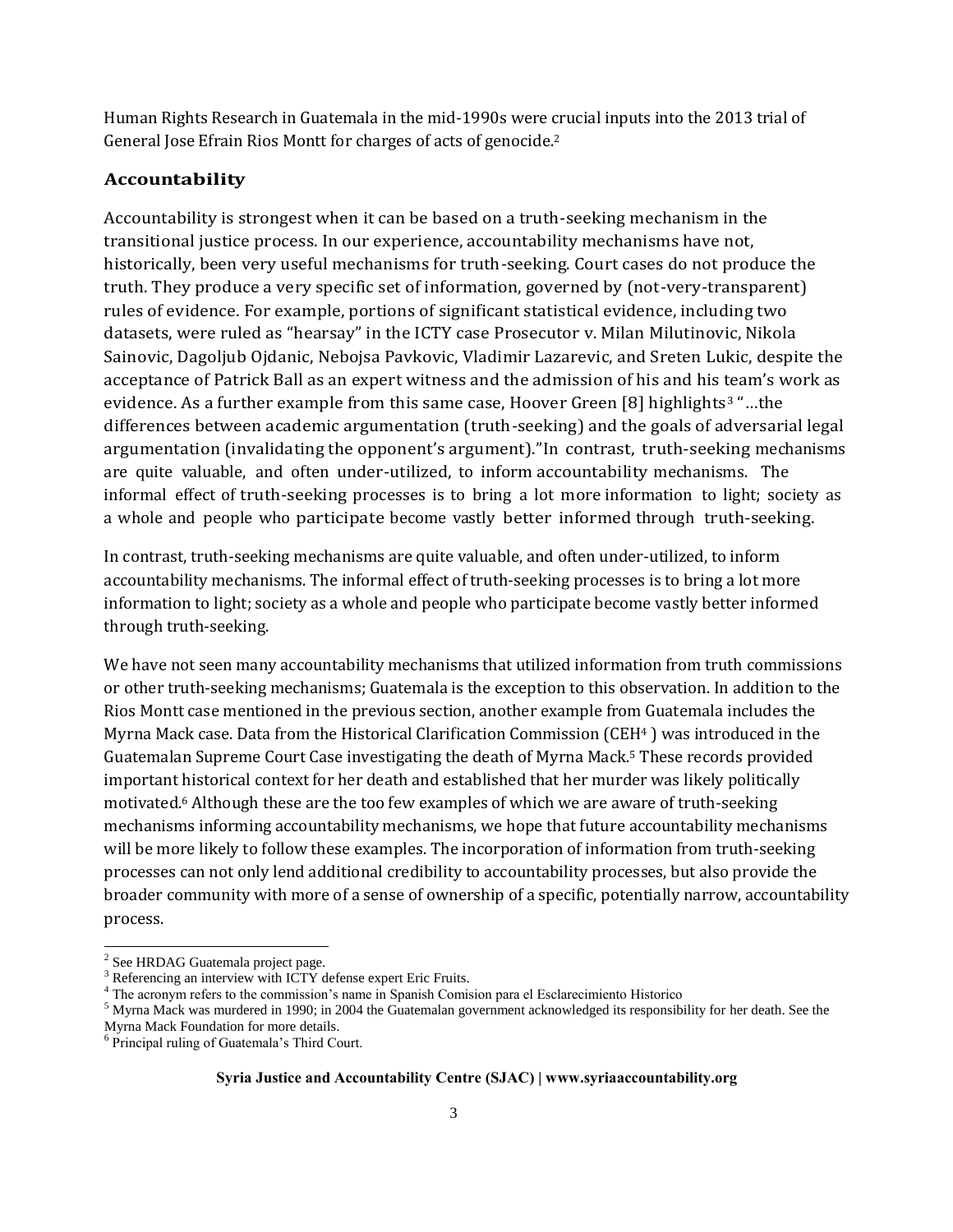Human Rights Research in Guatemala in the mid-1990s were crucial inputs into the 2013 trial of General Jose Efrain Rios Montt for charges of acts of genocide.<sup>2</sup>

#### **Accountability**

Accountability is strongest when it can be based on a truth-seeking mechanism in the transitional justice process. In our experience, accountability mechanisms have not, historically, been very useful mechanisms for truth-seeking. Court cases do not produce the truth. They produce a very specific set of information, governed by (not-very-transparent) rules of evidence. For example, portions of significant statistical evidence, including two datasets, were ruled as "hearsay" in the ICTY case Prosecutor v. Milan Milutinovic, Nikola Sainovic, Dagoljub Ojdanic, Nebojsa Pavkovic, Vladimir Lazarevic, and Sreten Lukic, despite the acceptance of Patrick Ball as an expert witness and the admission of his and his team's work as evidence. As a further example from this same case, Hoover Green [8] highlights<sup>3</sup> "...the differences between academic argumentation (truth-seeking) and the goals of adversarial legal argumentation (invalidating the opponent's argument)."In contrast, truth-seeking mechanisms are quite valuable, and often under-utilized, to inform accountability mechanisms. The informal effect of truth-seeking processes is to bring a lot more information to light; society as a whole and people who participate become vastly better informed through truth-seeking.

In contrast, truth-seeking mechanisms are quite valuable, and often under-utilized, to inform accountability mechanisms. The informal effect of truth-seeking processes is to bring a lot more information to light; society as a whole and people who participate become vastly better informed through truth-seeking.

We have not seen many accountability mechanisms that utilized information from truth commissions or other truth-seeking mechanisms; Guatemala is the exception to this observation. In addition to the Rios Montt case mentioned in the previous section, another example from Guatemala includes the Myrna Mack case. Data from the Historical Clarification Commission (CEH<sup>4</sup> ) was introduced in the Guatemalan Supreme Court Case investigating the death of Myrna Mack.<sup>5</sup> These records provided important historical context for her death and established that her murder was likely politically motivated.<sup>6</sup> Although these are the too few examples of which we are aware of truth-seeking mechanisms informing accountability mechanisms, we hope that future accountability mechanisms will be more likely to follow these examples. The incorporation of information from truth-seeking processes can not only lend additional credibility to accountability processes, but also provide the broader community with more of a sense of ownership of a specific, potentially narrow, accountability process.

l

<sup>2</sup> See HRDAG Guatemala project page.

Referencing an interview with ICTY defense expert Eric Fruits.

<sup>4</sup> The acronym refers to the commission's name in Spanish Comision para el Esclarecimiento Historico

 $<sup>5</sup>$  Myrna Mack was murdered in 1990; in 2004 the Guatemalan government acknowledged its responsibility for her death. See the</sup> Myrna Mack Foundation for more details.

<sup>6</sup> Principal ruling of Guatemala's Third Court.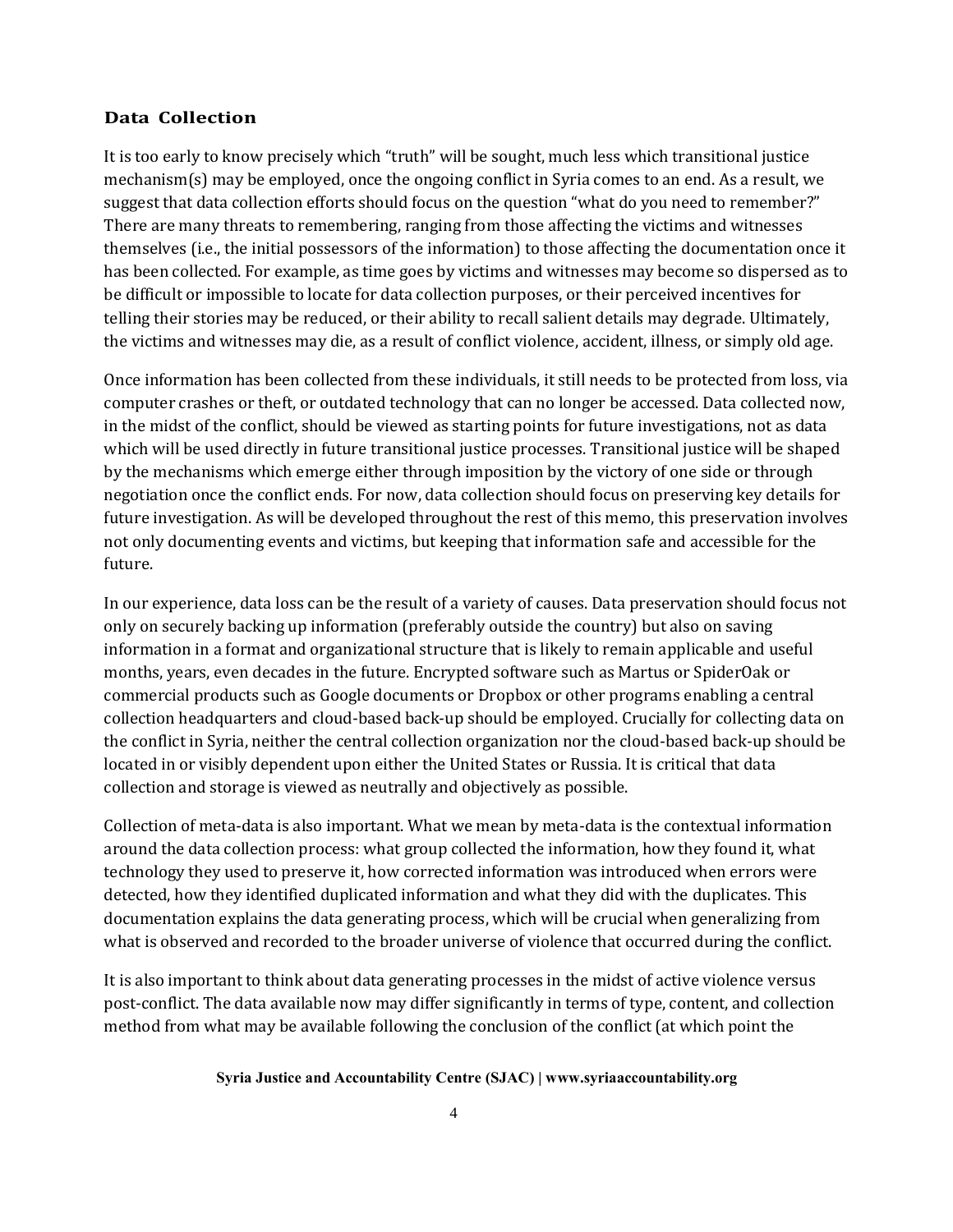#### **Data Collection**

It is too early to know precisely which "truth" will be sought, much less which transitional justice mechanism(s) may be employed, once the ongoing conflict in Syria comes to an end. As a result, we suggest that data collection efforts should focus on the question "what do you need to remember?" There are many threats to remembering, ranging from those affecting the victims and witnesses themselves (i.e., the initial possessors of the information) to those affecting the documentation once it has been collected. For example, as time goes by victims and witnesses may become so dispersed as to be difficult or impossible to locate for data collection purposes, or their perceived incentives for telling their stories may be reduced, or their ability to recall salient details may degrade. Ultimately, the victims and witnesses may die, as a result of conflict violence, accident, illness, or simply old age.

Once information has been collected from these individuals, it still needs to be protected from loss, via computer crashes or theft, or outdated technology that can no longer be accessed. Data collected now, in the midst of the conflict, should be viewed as starting points for future investigations, not as data which will be used directly in future transitional justice processes. Transitional justice will be shaped by the mechanisms which emerge either through imposition by the victory of one side or through negotiation once the conflict ends. For now, data collection should focus on preserving key details for future investigation. As will be developed throughout the rest of this memo, this preservation involves not only documenting events and victims, but keeping that information safe and accessible for the future.

In our experience, data loss can be the result of a variety of causes. Data preservation should focus not only on securely backing up information (preferably outside the country) but also on saving information in a format and organizational structure that is likely to remain applicable and useful months, years, even decades in the future. Encrypted software such as Martus or SpiderOak or commercial products such as Google documents or Dropbox or other programs enabling a central collection headquarters and cloud-based back-up should be employed. Crucially for collecting data on the conflict in Syria, neither the central collection organization nor the cloud-based back-up should be located in or visibly dependent upon either the United States or Russia. It is critical that data collection and storage is viewed as neutrally and objectively as possible.

Collection of meta-data is also important. What we mean by meta-data is the contextual information around the data collection process: what group collected the information, how they found it, what technology they used to preserve it, how corrected information was introduced when errors were detected, how they identified duplicated information and what they did with the duplicates. This documentation explains the data generating process, which will be crucial when generalizing from what is observed and recorded to the broader universe of violence that occurred during the conflict.

It is also important to think about data generating processes in the midst of active violence versus post-conflict. The data available now may differ significantly in terms of type, content, and collection method from what may be available following the conclusion of the conflict (at which point the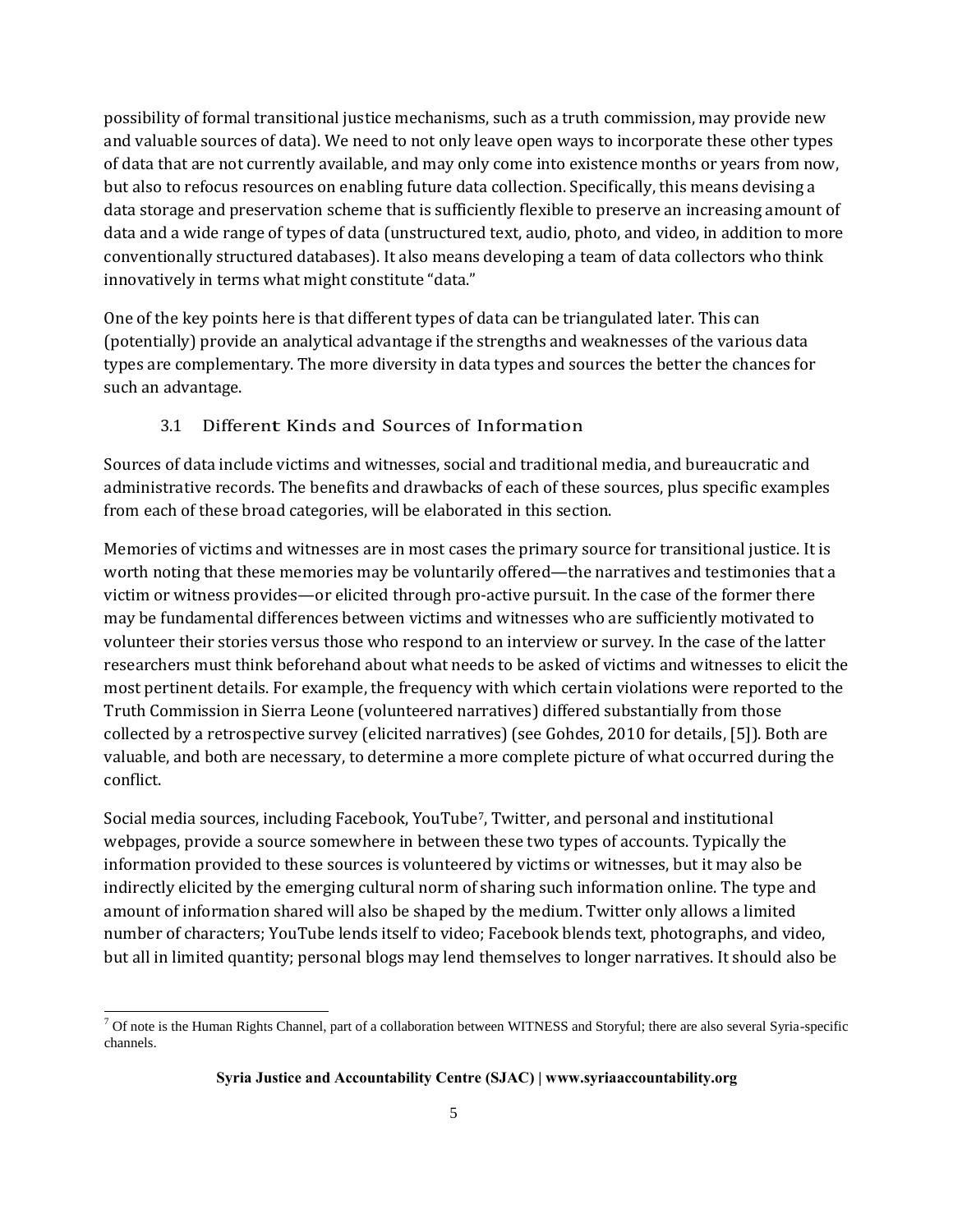possibility of formal transitional justice mechanisms, such as a truth commission, may provide new and valuable sources of data). We need to not only leave open ways to incorporate these other types of data that are not currently available, and may only come into existence months or years from now, but also to refocus resources on enabling future data collection. Specifically, this means devising a data storage and preservation scheme that is sufficiently flexible to preserve an increasing amount of data and a wide range of types of data (unstructured text, audio, photo, and video, in addition to more conventionally structured databases). It also means developing a team of data collectors who think innovatively in terms what might constitute "data."

One of the key points here is that different types of data can be triangulated later. This can (potentially) provide an analytical advantage if the strengths and weaknesses of the various data types are complementary. The more diversity in data types and sources the better the chances for such an advantage.

#### 3.1 Different Kinds and Sources of Information

Sources of data include victims and witnesses, social and traditional media, and bureaucratic and administrative records. The benefits and drawbacks of each of these sources, plus specific examples from each of these broad categories, will be elaborated in this section.

Memories of victims and witnesses are in most cases the primary source for transitional justice. It is worth noting that these memories may be voluntarily offered—the narratives and testimonies that a victim or witness provides—or elicited through pro-active pursuit. In the case of the former there may be fundamental differences between victims and witnesses who are sufficiently motivated to volunteer their stories versus those who respond to an interview or survey. In the case of the latter researchers must think beforehand about what needs to be asked of victims and witnesses to elicit the most pertinent details. For example, the frequency with which certain violations were reported to the Truth Commission in Sierra Leone (volunteered narratives) differed substantially from those collected by a retrospective survey (elicited narratives) (see Gohdes, 2010 for details, [5]). Both are valuable, and both are necessary, to determine a more complete picture of what occurred during the conflict.

Social media sources, including Facebook, YouTube7, Twitter, and personal and institutional webpages, provide a source somewhere in between these two types of accounts. Typically the information provided to these sources is volunteered by victims or witnesses, but it may also be indirectly elicited by the emerging cultural norm of sharing such information online. The type and amount of information shared will also be shaped by the medium. Twitter only allows a limited number of characters; YouTube lends itself to video; Facebook blends text, photographs, and video, but all in limited quantity; personal blogs may lend themselves to longer narratives. It should also be

l

 $7$  Of note is the Human Rights Channel, part of a collaboration between WITNESS and Storyful; there are also several Syria-specific channels.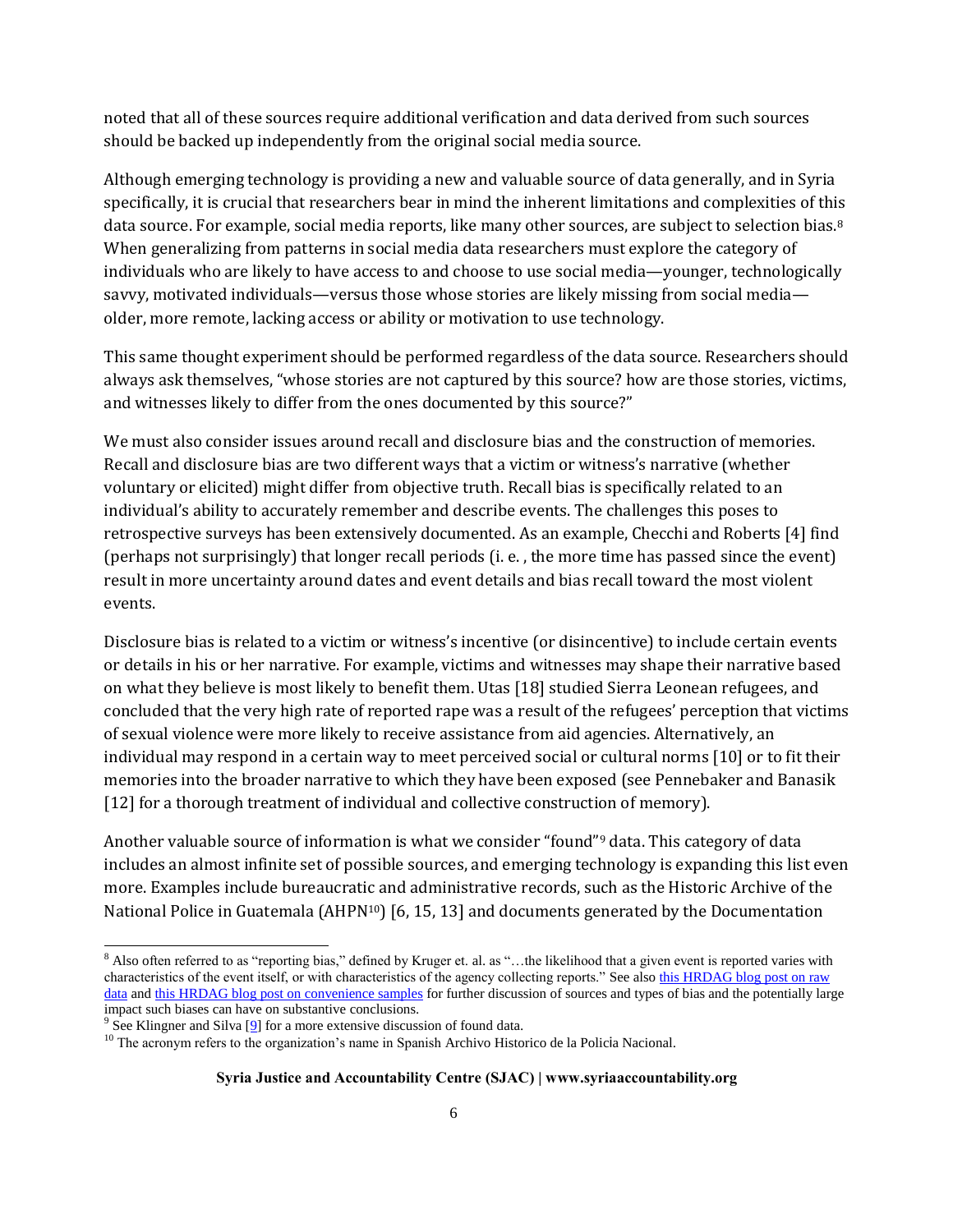noted that all of these sources require additional verification and data derived from such sources should be backed up independently from the original social media source.

Although emerging technology is providing a new and valuable source of data generally, and in Syria specifically, it is crucial that researchers bear in mind the inherent limitations and complexities of this data source. For example, social media reports, like many other sources, are subject to selection bias.<sup>8</sup> When generalizing from patterns in social media data researchers must explore the category of individuals who are likely to have access to and choose to use social media—younger, technologically savvy, motivated individuals—versus those whose stories are likely missing from social media older, more remote, lacking access or ability or motivation to use technology.

This same thought experiment should be performed regardless of the data source. Researchers should always ask themselves, "whose stories are not captured by this source? how are those stories, victims, and witnesses likely to differ from the ones documented by this source?"

We must also consider issues around recall and disclosure bias and the construction of memories. Recall and disclosure bias are two different ways that a victim or witness's narrative (whether voluntary or elicited) might differ from objective truth. Recall bias is specifically related to an individual's ability to accurately remember and describe events. The challenges this poses to retrospective surveys has been extensively documented. As an example, Checchi and Roberts [4] find (perhaps not surprisingly) that longer recall periods (i. e. , the more time has passed since the event) result in more uncertainty around dates and event details and bias recall toward the most violent events.

Disclosure bias is related to a victim or witness's incentive (or disincentive) to include certain events or details in his or her narrative. For example, victims and witnesses may shape their narrative based on what they believe is most likely to benefit them. Utas [18] studied Sierra Leonean refugees, and concluded that the very high rate of reported rape was a result of the refugees' perception that victims of sexual violence were more likely to receive assistance from aid agencies. Alternatively, an individual may respond in a certain way to meet perceived social or cultural norms [10] or to fit their memories into the broader narrative to which they have been exposed (see Pennebaker and Banasik [12] for a thorough treatment of individual and collective construction of memory).

Another valuable source of information is what we consider "found"<sup>9</sup> data. This category of data includes an almost infinite set of possible sources, and emerging technology is expanding this list even more. Examples include bureaucratic and administrative records, such as the Historic Archive of the National Police in Guatemala (AHPN<sup>10</sup>) [6, 15, 13] and documents generated by the Documentation

l 8 Also often referred to as "reporting bias," defined by Kruger et. al. as "...the likelihood that a given event is reported varies with characteristics of the event itself, or with characteristics of the agency collecting reports." See also [this HRDAG blog post on raw](https://hrdag.org/why-raw-data-doesnt-support-analysis-of-violence/)  [data](https://hrdag.org/why-raw-data-doesnt-support-analysis-of-violence/) and [this HRDAG blog post on convenience samples](https://hrdag.org/convenience-samples-what-they-are/) for further discussion of sources and types of bias and the potentially large impact such biases can have on substantive conclusions.

 $9^9$  See Klingner and Silva [\[9\]](http://irex-sjac-memo.html/#XKlingner) for a more extensive discussion of found data.

<sup>&</sup>lt;sup>10</sup> The acronym refers to the organization's name in Spanish Archivo Historico de la Policia Nacional.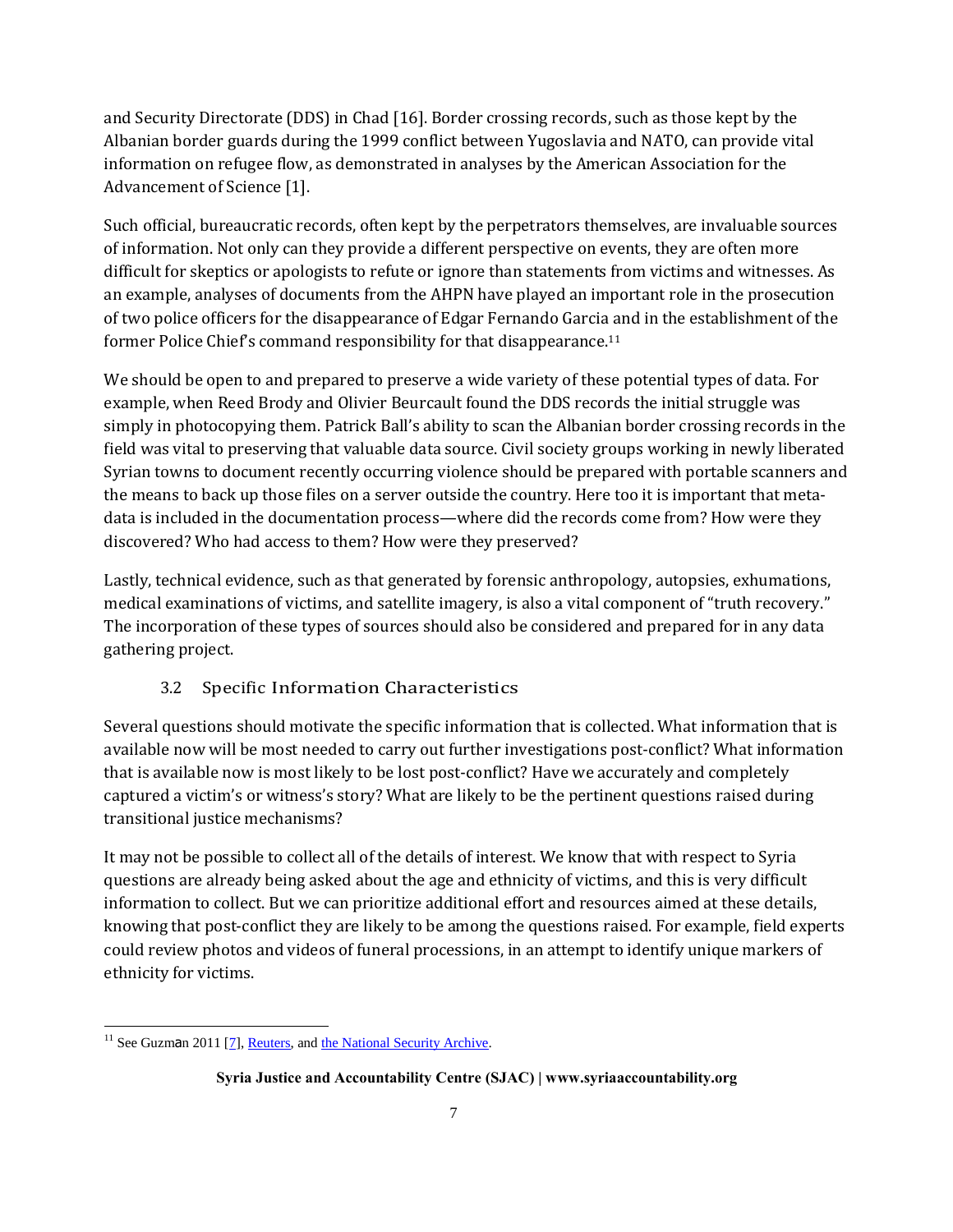and Security Directorate (DDS) in Chad [16]. Border crossing records, such as those kept by the Albanian border guards during the 1999 conflict between Yugoslavia and NATO, can provide vital information on refugee flow, as demonstrated in analyses by the American Association for the Advancement of Science [1].

Such official, bureaucratic records, often kept by the perpetrators themselves, are invaluable sources of information. Not only can they provide a different perspective on events, they are often more difficult for skeptics or apologists to refute or ignore than statements from victims and witnesses. As an example, analyses of documents from the AHPN have played an important role in the prosecution of two police officers for the disappearance of Edgar Fernando Garcia and in the establishment of the former Police Chief's command responsibility for that disappearance.<sup>11</sup>

We should be open to and prepared to preserve a wide variety of these potential types of data. For example, when Reed Brody and Olivier Beurcault found the DDS records the initial struggle was simply in photocopying them. Patrick Ball's ability to scan the Albanian border crossing records in the field was vital to preserving that valuable data source. Civil society groups working in newly liberated Syrian towns to document recently occurring violence should be prepared with portable scanners and the means to back up those files on a server outside the country. Here too it is important that metadata is included in the documentation process—where did the records come from? How were they discovered? Who had access to them? How were they preserved?

Lastly, technical evidence, such as that generated by forensic anthropology, autopsies, exhumations, medical examinations of victims, and satellite imagery, is also a vital component of "truth recovery." The incorporation of these types of sources should also be considered and prepared for in any data gathering project.

#### 3.2 Specific Information Characteristics

Several questions should motivate the specific information that is collected. What information that is available now will be most needed to carry out further investigations post-conflict? What information that is available now is most likely to be lost post-conflict? Have we accurately and completely captured a victim's or witness's story? What are likely to be the pertinent questions raised during transitional justice mechanisms?

It may not be possible to collect all of the details of interest. We know that with respect to Syria questions are already being asked about the age and ethnicity of victims, and this is very difficult information to collect. But we can prioritize additional effort and resources aimed at these details, knowing that post-conflict they are likely to be among the questions raised. For example, field experts could review photos and videos of funeral processions, in an attempt to identify unique markers of ethnicity for victims.

l

 $11$  See Guzman 2011 [\[7\]](http://irex-sjac-memo.html/#XGuzman11), [Reuters,](http://www.reuters.com/article/2013/09/20/us-guatemala-court-idUSBRE98J0YQ20130920) and [the National Security Archive.](http://www2.gwu.edu/~nsarchiv/NSAEBB/NSAEBB440/)

**Syria Justice and Accountability Centre (SJAC) | www.syriaaccountability.org**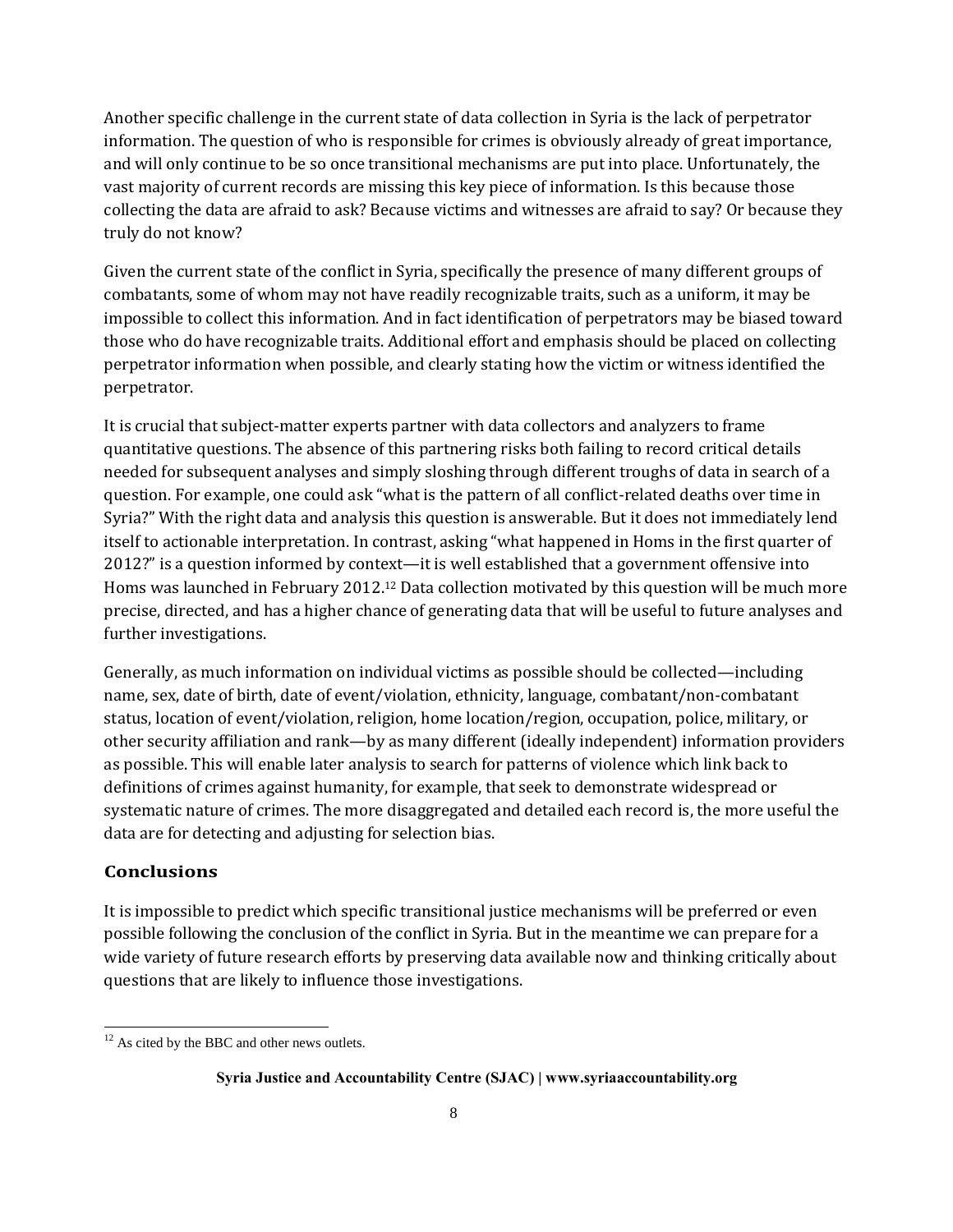Another specific challenge in the current state of data collection in Syria is the lack of perpetrator information. The question of who is responsible for crimes is obviously already of great importance, and will only continue to be so once transitional mechanisms are put into place. Unfortunately, the vast majority of current records are missing this key piece of information. Is this because those collecting the data are afraid to ask? Because victims and witnesses are afraid to say? Or because they truly do not know?

Given the current state of the conflict in Syria, specifically the presence of many different groups of combatants, some of whom may not have readily recognizable traits, such as a uniform, it may be impossible to collect this information. And in fact identification of perpetrators may be biased toward those who do have recognizable traits. Additional effort and emphasis should be placed on collecting perpetrator information when possible, and clearly stating how the victim or witness identified the perpetrator.

It is crucial that subject-matter experts partner with data collectors and analyzers to frame quantitative questions. The absence of this partnering risks both failing to record critical details needed for subsequent analyses and simply sloshing through different troughs of data in search of a question. For example, one could ask "what is the pattern of all conflict-related deaths over time in Syria?" With the right data and analysis this question is answerable. But it does not immediately lend itself to actionable interpretation. In contrast, asking "what happened in Homs in the first quarter of 2012?" is a question informed by context—it is well established that a government offensive into Homs was launched in February 2012.<sup>12</sup> Data collection motivated by this question will be much more precise, directed, and has a higher chance of generating data that will be useful to future analyses and further investigations.

Generally, as much information on individual victims as possible should be collected—including name, sex, date of birth, date of event/violation, ethnicity, language, combatant/non-combatant status, location of event/violation, religion, home location/region, occupation, police, military, or other security affiliation and rank—by as many different (ideally independent) information providers as possible. This will enable later analysis to search for patterns of violence which link back to definitions of crimes against humanity, for example, that seek to demonstrate widespread or systematic nature of crimes. The more disaggregated and detailed each record is, the more useful the data are for detecting and adjusting for selection bias.

#### **Conclusions**

l

It is impossible to predict which specific transitional justice mechanisms will be preferred or even possible following the conclusion of the conflict in Syria. But in the meantime we can prepare for a wide variety of future research efforts by preserving data available now and thinking critically about questions that are likely to influence those investigations.

<sup>&</sup>lt;sup>12</sup> As cited by the BBC and other news outlets.

**Syria Justice and Accountability Centre (SJAC) | www.syriaaccountability.org**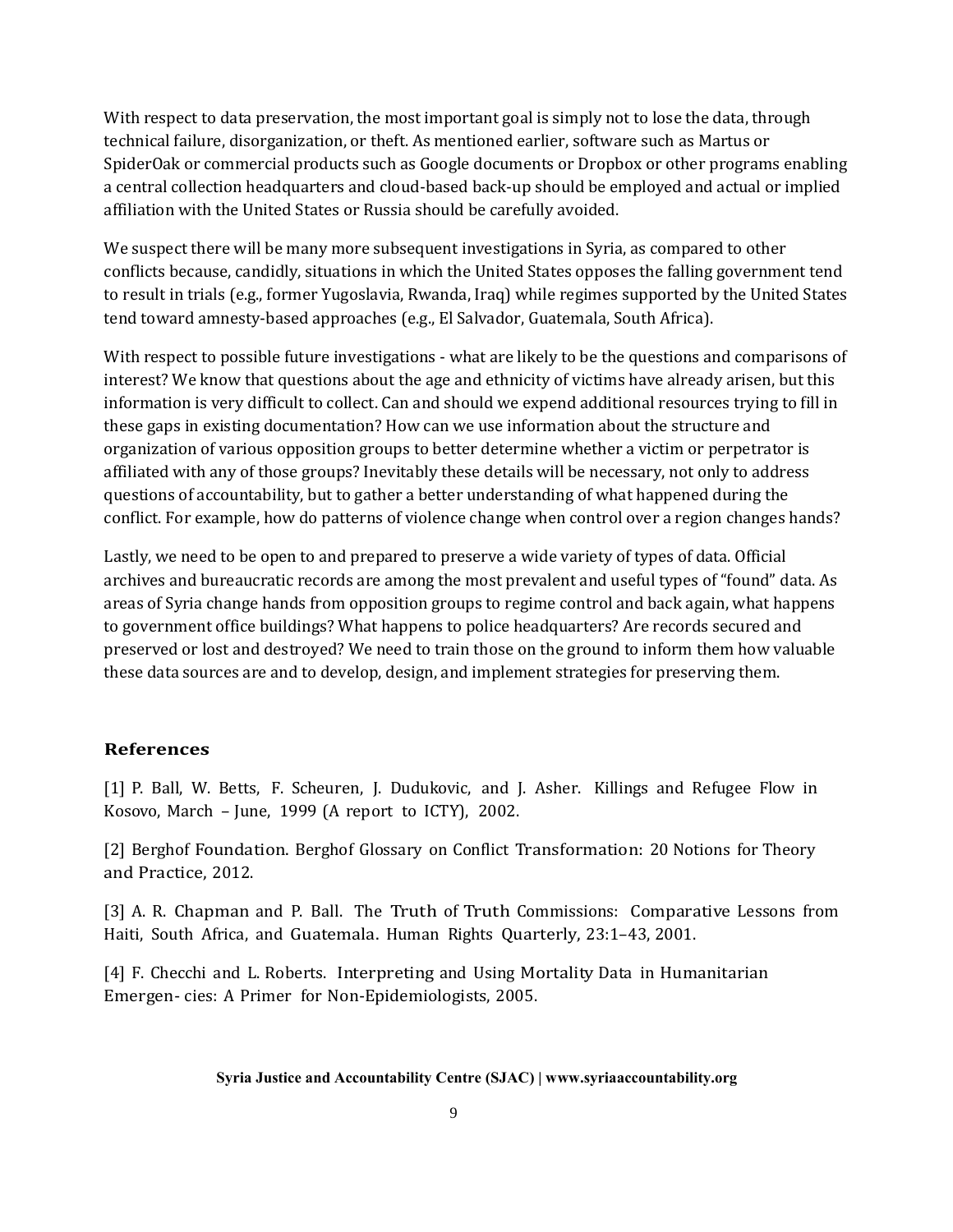With respect to data preservation, the most important goal is simply not to lose the data, through technical failure, disorganization, or theft. As mentioned earlier, software such as Martus or SpiderOak or commercial products such as Google documents or Dropbox or other programs enabling a central collection headquarters and cloud-based back-up should be employed and actual or implied affiliation with the United States or Russia should be carefully avoided.

We suspect there will be many more subsequent investigations in Syria, as compared to other conflicts because, candidly, situations in which the United States opposes the falling government tend to result in trials (e.g., former Yugoslavia, Rwanda, Iraq) while regimes supported by the United States tend toward amnesty-based approaches (e.g., El Salvador, Guatemala, South Africa).

With respect to possible future investigations - what are likely to be the questions and comparisons of interest? We know that questions about the age and ethnicity of victims have already arisen, but this information is very difficult to collect. Can and should we expend additional resources trying to fill in these gaps in existing documentation? How can we use information about the structure and organization of various opposition groups to better determine whether a victim or perpetrator is affiliated with any of those groups? Inevitably these details will be necessary, not only to address questions of accountability, but to gather a better understanding of what happened during the conflict. For example, how do patterns of violence change when control over a region changes hands?

Lastly, we need to be open to and prepared to preserve a wide variety of types of data. Official archives and bureaucratic records are among the most prevalent and useful types of "found" data. As areas of Syria change hands from opposition groups to regime control and back again, what happens to government office buildings? What happens to police headquarters? Are records secured and preserved or lost and destroyed? We need to train those on the ground to inform them how valuable these data sources are and to develop, design, and implement strategies for preserving them.

#### **References**

[1] P. Ball, W. Betts, F. Scheuren, J. Dudukovic, and J. Asher. Killings and Refugee Flow in Kosovo, March – June, 1999 (A report to ICTY), 2002.

[2] Berghof Foundation. Berghof Glossary on Conflict Transformation: 20 Notions for Theory and Practice, 2012.

[3] A. R. Chapman and P. Ball. The Truth of Truth Commissions: Comparative Lessons from Haiti, South Africa, and Guatemala. Human Rights Quarterly, 23:1–43, 2001.

[4] F. Checchi and L. Roberts. Interpreting and Using Mortality Data in Humanitarian Emergen- cies: A Primer for Non-Epidemiologists, 2005.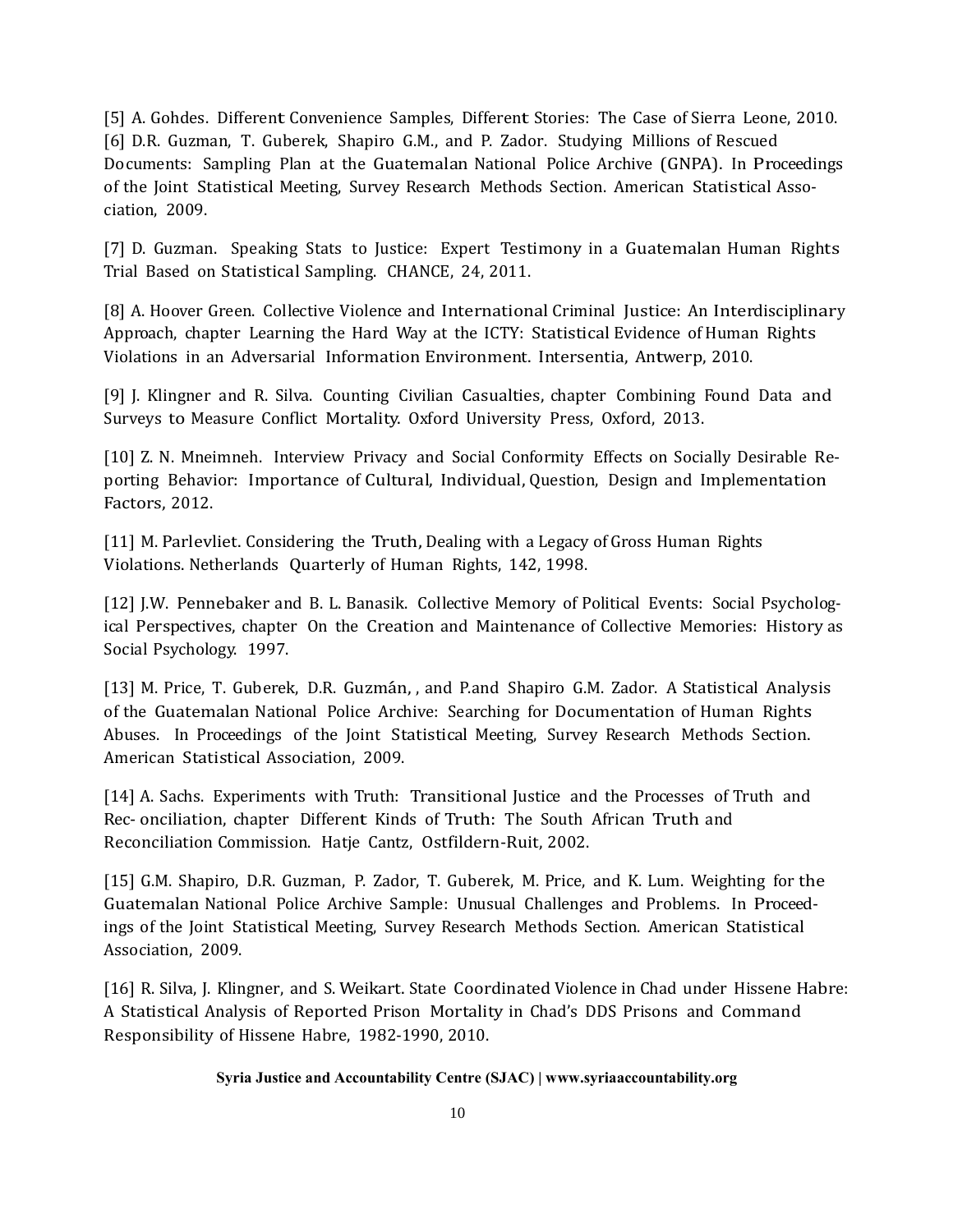[5] A. Gohdes. Different Convenience Samples, Different Stories: The Case of Sierra Leone, 2010. [6] D.R. Guzman, T. Guberek, Shapiro G.M., and P. Zador. Studying Millions of Rescued Documents: Sampling Plan at the Guatemalan National Police Archive (GNPA). In Proceedings of the Joint Statistical Meeting, Survey Research Methods Section. American Statistical Association, 2009.

[7] D. Guzman. Speaking Stats to Justice: Expert Testimony in a Guatemalan Human Rights Trial Based on Statistical Sampling. CHANCE, 24, 2011.

[8] A. Hoover Green. Collective Violence and International Criminal Justice: An Interdisciplinary Approach, chapter Learning the Hard Way at the ICTY: Statistical Evidence of Human Rights Violations in an Adversarial Information Environment. Intersentia, Antwerp, 2010.

[9] J. Klingner and R. Silva. Counting Civilian Casualties, chapter Combining Found Data and Surveys to Measure Conflict Mortality. Oxford University Press, Oxford, 2013.

[10] Z. N. Mneimneh. Interview Privacy and Social Conformity Effects on Socially Desirable Reporting Behavior: Importance of Cultural, Individual, Question, Design and Implementation Factors, 2012.

[11] M. Parlevliet. Considering the Truth, Dealing with a Legacy of Gross Human Rights Violations. Netherlands Quarterly of Human Rights, 142, 1998.

[12] J.W. Pennebaker and B. L. Banasik. Collective Memory of Political Events: Social Psychological Perspectives, chapter On the Creation and Maintenance of Collective Memories: History as Social Psychology. 1997.

[13] M. Price, T. Guberek, D.R. Guzmán, , and P.and Shapiro G.M. Zador. A Statistical Analysis of the Guatemalan National Police Archive: Searching for Documentation of Human Rights Abuses. In Proceedings of the Joint Statistical Meeting, Survey Research Methods Section. American Statistical Association, 2009.

[14] A. Sachs. Experiments with Truth: Transitional Justice and the Processes of Truth and Rec- onciliation, chapter Different Kinds of Truth: The South African Truth and Reconciliation Commission. Hatje Cantz, Ostfildern-Ruit, 2002.

[15] G.M. Shapiro, D.R. Guzman, P. Zador, T. Guberek, M. Price, and K. Lum. Weighting for the Guatemalan National Police Archive Sample: Unusual Challenges and Problems. In Proceedings of the Joint Statistical Meeting, Survey Research Methods Section. American Statistical Association, 2009.

[16] R. Silva, J. Klingner, and S. Weikart. State Coordinated Violence in Chad under Hissene Habre: A Statistical Analysis of Reported Prison Mortality in Chad's DDS Prisons and Command Responsibility of Hissene Habre, 1982-1990, 2010.